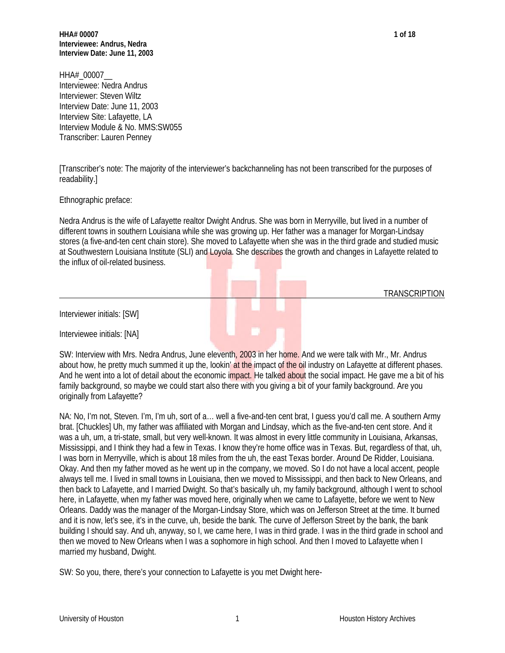**HHA# 00007 1 of 18 Interviewee: Andrus, Nedra Interview Date: June 11, 2003**

HHA# 00007 Interviewee: Nedra Andrus Interviewer: Steven Wiltz Interview Date: June 11, 2003 Interview Site: Lafayette, LA Interview Module & No. MMS:SW055 Transcriber: Lauren Penney

[Transcriber's note: The majority of the interviewer's backchanneling has not been transcribed for the purposes of readability.]

Ethnographic preface:

Nedra Andrus is the wife of Lafayette realtor Dwight Andrus. She was born in Merryville, but lived in a number of different towns in southern Louisiana while she was growing up. Her father was a manager for Morgan-Lindsay stores (a five-and-ten cent chain store). She moved to Lafayette when she was in the third grade and studied music at Southwestern Louisiana Institute (SLI) and Loyola. She describes the growth and changes in Lafayette related to the influx of oil-related business.

**TRANSCRIPTION** 

Interviewer initials: [SW]

Interviewee initials: [NA]

SW: Interview with Mrs. Nedra Andrus, June eleventh, 2003 in her home. And we were talk with Mr., Mr. Andrus about how, he pretty much summed it up the, lookin' at the impact of the oil industry on Lafayette at different phases. And he went into a lot of detail about the economic impact. He talked about the social impact. He gave me a bit of his family background, so maybe we could start also there with you giving a bit of your family background. Are you originally from Lafayette?

NA: No, I'm not, Steven. I'm, I'm uh, sort of a… well a five-and-ten cent brat, I guess you'd call me. A southern Army brat. [Chuckles] Uh, my father was affiliated with Morgan and Lindsay, which as the five-and-ten cent store. And it was a uh, um, a tri-state, small, but very well-known. It was almost in every little community in Louisiana, Arkansas, Mississippi, and I think they had a few in Texas. I know they're home office was in Texas. But, regardless of that, uh, I was born in Merryville, which is about 18 miles from the uh, the east Texas border. Around De Ridder, Louisiana. Okay. And then my father moved as he went up in the company, we moved. So I do not have a local accent, people always tell me. I lived in small towns in Louisiana, then we moved to Mississippi, and then back to New Orleans, and then back to Lafayette, and I married Dwight. So that's basically uh, my family background, although I went to school here, in Lafayette, when my father was moved here, originally when we came to Lafayette, before we went to New Orleans. Daddy was the manager of the Morgan-Lindsay Store, which was on Jefferson Street at the time. It burned and it is now, let's see, it's in the curve, uh, beside the bank. The curve of Jefferson Street by the bank, the bank building I should say. And uh, anyway, so I, we came here, I was in third grade. I was in the third grade in school and then we moved to New Orleans when I was a sophomore in high school. And then I moved to Lafayette when I married my husband, Dwight.

SW: So you, there, there's your connection to Lafayette is you met Dwight here-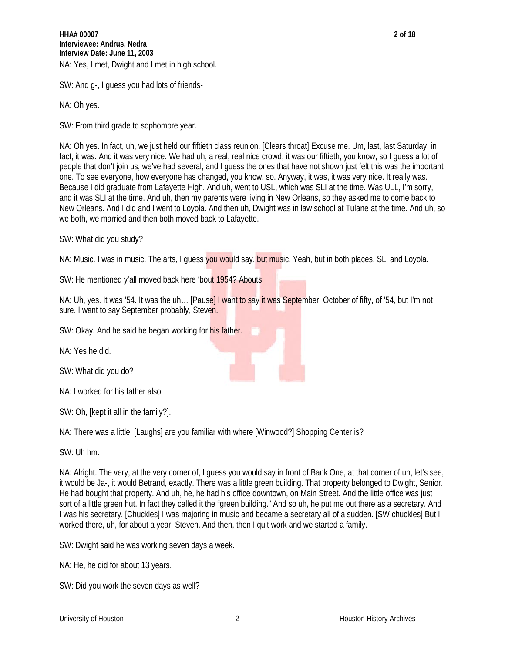SW: And g-, I guess you had lots of friends-

NA: Oh yes.

SW: From third grade to sophomore year.

NA: Oh yes. In fact, uh, we just held our fiftieth class reunion. [Clears throat] Excuse me. Um, last, last Saturday, in fact, it was. And it was very nice. We had uh, a real, real nice crowd, it was our fiftieth, you know, so I guess a lot of people that don't join us, we've had several, and I guess the ones that have not shown just felt this was the important one. To see everyone, how everyone has changed, you know, so. Anyway, it was, it was very nice. It really was. Because I did graduate from Lafayette High. And uh, went to USL, which was SLI at the time. Was ULL, I'm sorry, and it was SLI at the time. And uh, then my parents were living in New Orleans, so they asked me to come back to New Orleans. And I did and I went to Loyola. And then uh, Dwight was in law school at Tulane at the time. And uh, so we both, we married and then both moved back to Lafayette.

SW: What did you study?

NA: Music. I was in music. The arts, I guess you would say, but music. Yeah, but in both places, SLI and Loyola.

SW: He mentioned y'all moved back here 'bout 1954? Abouts.

NA: Uh, yes. It was '54. It was the uh... [Pause] I want to say it was September, October of fifty, of '54, but I'm not sure. I want to say September probably, Steven.

SW: Okay. And he said he began working for his father.

NA: Yes he did.

SW: What did you do?

NA: I worked for his father also.

SW: Oh, [kept it all in the family?].

NA: There was a little, [Laughs] are you familiar with where [Winwood?] Shopping Center is?

SW: Uh hm.

NA: Alright. The very, at the very corner of, I guess you would say in front of Bank One, at that corner of uh, let's see, it would be Ja-, it would Betrand, exactly. There was a little green building. That property belonged to Dwight, Senior. He had bought that property. And uh, he, he had his office downtown, on Main Street. And the little office was just sort of a little green hut. In fact they called it the "green building." And so uh, he put me out there as a secretary. And I was his secretary. [Chuckles] I was majoring in music and became a secretary all of a sudden. [SW chuckles] But I worked there, uh, for about a year, Steven. And then, then I quit work and we started a family.

SW: Dwight said he was working seven days a week.

NA: He, he did for about 13 years.

SW: Did you work the seven days as well?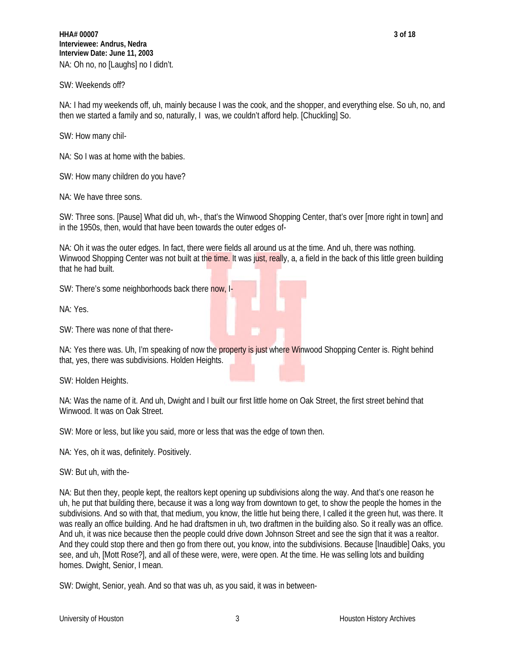SW: Weekends off?

NA: I had my weekends off, uh, mainly because I was the cook, and the shopper, and everything else. So uh, no, and then we started a family and so, naturally, I was, we couldn't afford help. [Chuckling] So.

SW: How many chil-

NA: So I was at home with the babies.

SW: How many children do you have?

NA: We have three sons.

SW: Three sons. [Pause] What did uh, wh-, that's the Winwood Shopping Center, that's over [more right in town] and in the 1950s, then, would that have been towards the outer edges of-

NA: Oh it was the outer edges. In fact, there were fields all around us at the time. And uh, there was nothing. Winwood Shopping Center was not built at the time. It was just, really, a, a field in the back of this little green building that he had built.

SW: There's some neighborhoods back there now, I-

NA: Yes.

SW: There was none of that there-

NA: Yes there was. Uh, I'm speaking of now the property is just where Winwood Shopping Center is. Right behind that, yes, there was subdivisions. Holden Heights.

SW: Holden Heights.

NA: Was the name of it. And uh, Dwight and I built our first little home on Oak Street, the first street behind that Winwood. It was on Oak Street.

SW: More or less, but like you said, more or less that was the edge of town then.

NA: Yes, oh it was, definitely. Positively.

SW: But uh, with the-

NA: But then they, people kept, the realtors kept opening up subdivisions along the way. And that's one reason he uh, he put that building there, because it was a long way from downtown to get, to show the people the homes in the subdivisions. And so with that, that medium, you know, the little hut being there, I called it the green hut, was there. It was really an office building. And he had draftsmen in uh, two draftmen in the building also. So it really was an office. And uh, it was nice because then the people could drive down Johnson Street and see the sign that it was a realtor. And they could stop there and then go from there out, you know, into the subdivisions. Because [Inaudible] Oaks, you see, and uh, [Mott Rose?], and all of these were, were, were open. At the time. He was selling lots and building homes. Dwight, Senior, I mean.

SW: Dwight, Senior, yeah. And so that was uh, as you said, it was in between-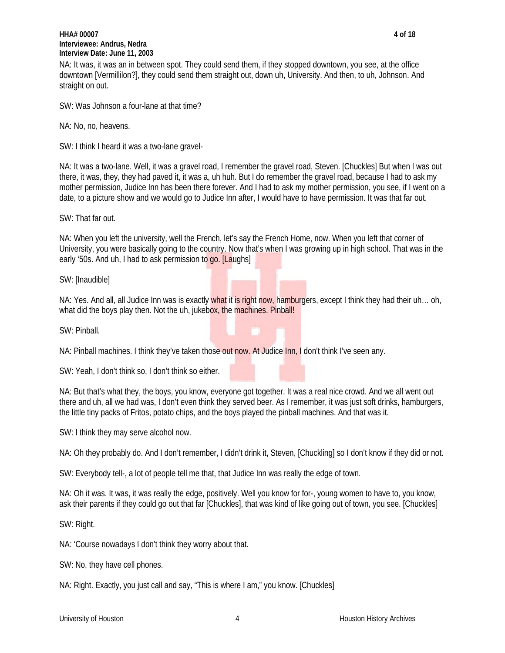## **HHA# 00007 4 of 18 Interviewee: Andrus, Nedra Interview Date: June 11, 2003**

NA: It was, it was an in between spot. They could send them, if they stopped downtown, you see, at the office downtown [Vermillilon?], they could send them straight out, down uh, University. And then, to uh, Johnson. And straight on out.

SW: Was Johnson a four-lane at that time?

NA: No, no, heavens.

SW: I think I heard it was a two-lane gravel-

NA: It was a two-lane. Well, it was a gravel road, I remember the gravel road, Steven. [Chuckles] But when I was out there, it was, they, they had paved it, it was a, uh huh. But I do remember the gravel road, because I had to ask my mother permission, Judice Inn has been there forever. And I had to ask my mother permission, you see, if I went on a date, to a picture show and we would go to Judice Inn after, I would have to have permission. It was that far out.

SW: That far out.

NA: When you left the university, well the French, let's say the French Home, now. When you left that corner of University, you were basically going to the country. Now that's when I was growing up in high school. That was in the early '50s. And uh, I had to ask permission to go. [Laughs]

SW: [Inaudible]

NA: Yes. And all, all Judice Inn was is exactly what it is right now, hamburgers, except I think they had their uh... oh, what did the boys play then. Not the uh, jukebox, the machines. Pinball!

SW: Pinball.

NA: Pinball machines. I think they've taken those out now. At Judice Inn, I don't think I've seen any.

SW: Yeah, I don't think so, I don't think so either.

NA: But that's what they, the boys, you know, everyone got together. It was a real nice crowd. And we all went out there and uh, all we had was, I don't even think they served beer. As I remember, it was just soft drinks, hamburgers, the little tiny packs of Fritos, potato chips, and the boys played the pinball machines. And that was it.

SW: I think they may serve alcohol now.

NA: Oh they probably do. And I don't remember, I didn't drink it, Steven, [Chuckling] so I don't know if they did or not.

SW: Everybody tell-, a lot of people tell me that, that Judice Inn was really the edge of town.

NA: Oh it was. It was, it was really the edge, positively. Well you know for for-, young women to have to, you know, ask their parents if they could go out that far [Chuckles], that was kind of like going out of town, you see. [Chuckles]

SW: Right.

NA: 'Course nowadays I don't think they worry about that.

SW: No, they have cell phones.

NA: Right. Exactly, you just call and say, "This is where I am," you know. [Chuckles]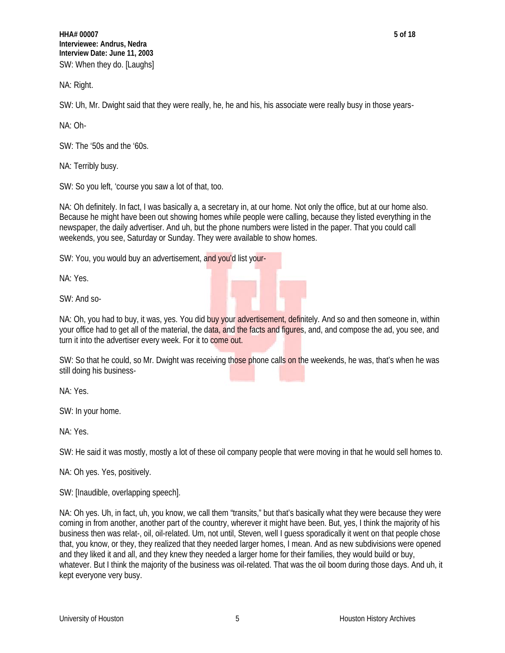**HHA# 00007 5 of 18 Interviewee: Andrus, Nedra Interview Date: June 11, 2003** SW: When they do. [Laughs]

NA: Right.

SW: Uh, Mr. Dwight said that they were really, he, he and his, his associate were really busy in those years-

NA: Oh-

SW: The '50s and the '60s.

NA: Terribly busy.

SW: So you left, 'course you saw a lot of that, too.

NA: Oh definitely. In fact, I was basically a, a secretary in, at our home. Not only the office, but at our home also. Because he might have been out showing homes while people were calling, because they listed everything in the newspaper, the daily advertiser. And uh, but the phone numbers were listed in the paper. That you could call weekends, you see, Saturday or Sunday. They were available to show homes.

SW: You, you would buy an advertisement, and you'd list your-

NA: Yes.

SW: And so-

NA: Oh, you had to buy, it was, yes. You did buy your advertisement, definitely. And so and then someone in, within your office had to get all of the material, the data, and the facts and figures, and, and compose the ad, you see, and turn it into the advertiser every week. For it to come out.

SW: So that he could, so Mr. Dwight was receiving those phone calls on the weekends, he was, that's when he was still doing his business-

NA: Yes.

SW: In your home.

NA: Yes.

SW: He said it was mostly, mostly a lot of these oil company people that were moving in that he would sell homes to.

NA: Oh yes. Yes, positively.

SW: [Inaudible, overlapping speech].

NA: Oh yes. Uh, in fact, uh, you know, we call them "transits," but that's basically what they were because they were coming in from another, another part of the country, wherever it might have been. But, yes, I think the majority of his business then was relat-, oil, oil-related. Um, not until, Steven, well I guess sporadically it went on that people chose that, you know, or they, they realized that they needed larger homes, I mean. And as new subdivisions were opened and they liked it and all, and they knew they needed a larger home for their families, they would build or buy, whatever. But I think the majority of the business was oil-related. That was the oil boom during those days. And uh, it kept everyone very busy.

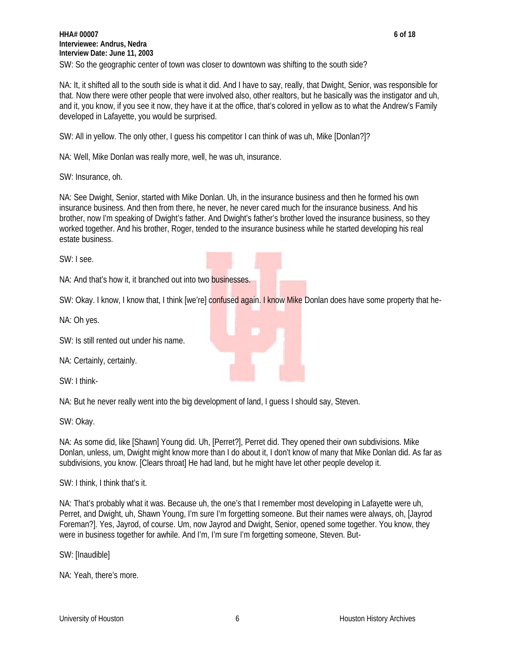NA: It, it shifted all to the south side is what it did. And I have to say, really, that Dwight, Senior, was responsible for that. Now there were other people that were involved also, other realtors, but he basically was the instigator and uh, and it, you know, if you see it now, they have it at the office, that's colored in yellow as to what the Andrew's Family developed in Lafayette, you would be surprised.

SW: All in yellow. The only other, I guess his competitor I can think of was uh, Mike [Donlan?]?

NA: Well, Mike Donlan was really more, well, he was uh, insurance.

SW: Insurance, oh.

NA: See Dwight, Senior, started with Mike Donlan. Uh, in the insurance business and then he formed his own insurance business. And then from there, he never, he never cared much for the insurance business. And his brother, now I'm speaking of Dwight's father. And Dwight's father's brother loved the insurance business, so they worked together. And his brother, Roger, tended to the insurance business while he started developing his real estate business.

SW: I see.

NA: And that's how it, it branched out into two businesses.

SW: Okay. I know, I know that, I think [we're] confused again. I know Mike Donlan does have some property that he-

NA: Oh yes.

SW: Is still rented out under his name.

NA: Certainly, certainly.

SW: I think-

NA: But he never really went into the big development of land, I guess I should say, Steven.

SW: Okay.

NA: As some did, like [Shawn] Young did. Uh, [Perret?], Perret did. They opened their own subdivisions. Mike Donlan, unless, um, Dwight might know more than I do about it, I don't know of many that Mike Donlan did. As far as subdivisions, you know. [Clears throat] He had land, but he might have let other people develop it.

SW: I think, I think that's it.

NA: That's probably what it was. Because uh, the one's that I remember most developing in Lafayette were uh, Perret, and Dwight, uh, Shawn Young, I'm sure I'm forgetting someone. But their names were always, oh, [Jayrod Foreman?]. Yes, Jayrod, of course. Um, now Jayrod and Dwight, Senior, opened some together. You know, they were in business together for awhile. And I'm, I'm sure I'm forgetting someone, Steven. But-

SW: [Inaudible]

NA: Yeah, there's more.



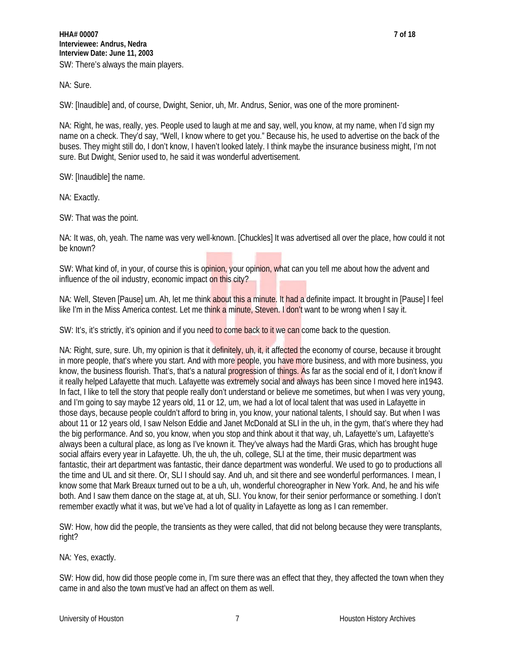NA: Sure.

SW: [Inaudible] and, of course, Dwight, Senior, uh, Mr. Andrus, Senior, was one of the more prominent-

NA: Right, he was, really, yes. People used to laugh at me and say, well, you know, at my name, when I'd sign my name on a check. They'd say, "Well, I know where to get you." Because his, he used to advertise on the back of the buses. They might still do, I don't know, I haven't looked lately. I think maybe the insurance business might, I'm not sure. But Dwight, Senior used to, he said it was wonderful advertisement.

SW: [Inaudible] the name.

NA: Exactly.

SW: That was the point.

NA: It was, oh, yeah. The name was very well-known. [Chuckles] It was advertised all over the place, how could it not be known?

SW: What kind of, in your, of course this is opinion, your opinion, what can you tell me about how the advent and influence of the oil industry, economic impact on this city?

NA: Well, Steven [Pause] um. Ah, let me think about this a minute. It had a definite impact. It brought in [Pause] I feel like I'm in the Miss America contest. Let me think a minute, Steven. I don't want to be wrong when I say it.

SW: It's, it's strictly, it's opinion and if you need to come back to it we can come back to the question.

NA: Right, sure, sure. Uh, my opinion is that it definitely, uh, it, it affected the economy of course, because it brought in more people, that's where you start. And with more people, you have more business, and with more business, you know, the business flourish. That's, that's a natural progression of things. As far as the social end of it, I don't know if it really helped Lafayette that much. Lafayette was extremely social and always has been since I moved here in1943. In fact, I like to tell the story that people really don't understand or believe me sometimes, but when I was very young, and I'm going to say maybe 12 years old, 11 or 12, um, we had a lot of local talent that was used in Lafayette in those days, because people couldn't afford to bring in, you know, your national talents, I should say. But when I was about 11 or 12 years old, I saw Nelson Eddie and Janet McDonald at SLI in the uh, in the gym, that's where they had the big performance. And so, you know, when you stop and think about it that way, uh, Lafayette's um, Lafayette's always been a cultural place, as long as I've known it. They've always had the Mardi Gras, which has brought huge social affairs every year in Lafayette. Uh, the uh, the uh, college, SLI at the time, their music department was fantastic, their art department was fantastic, their dance department was wonderful. We used to go to productions all the time and UL and sit there. Or, SLI I should say. And uh, and sit there and see wonderful performances. I mean, I know some that Mark Breaux turned out to be a uh, uh, wonderful choreographer in New York. And, he and his wife both. And I saw them dance on the stage at, at uh, SLI. You know, for their senior performance or something. I don't remember exactly what it was, but we've had a lot of quality in Lafayette as long as I can remember.

SW: How, how did the people, the transients as they were called, that did not belong because they were transplants, right?

NA: Yes, exactly.

SW: How did, how did those people come in, I'm sure there was an effect that they, they affected the town when they came in and also the town must've had an affect on them as well.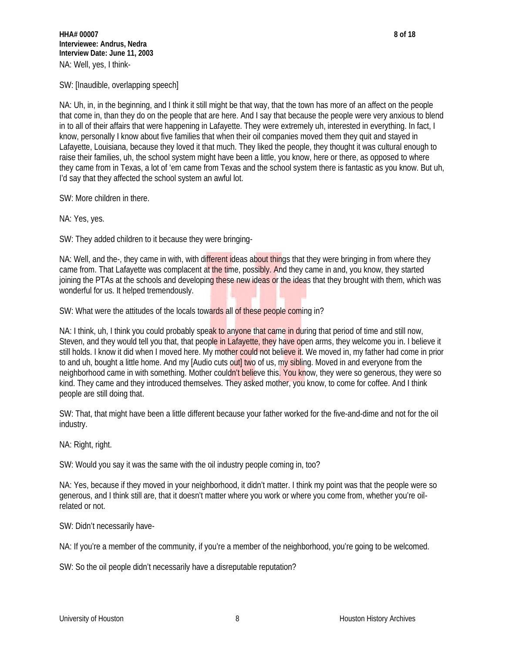SW: [Inaudible, overlapping speech]

NA: Uh, in, in the beginning, and I think it still might be that way, that the town has more of an affect on the people that come in, than they do on the people that are here. And I say that because the people were very anxious to blend in to all of their affairs that were happening in Lafayette. They were extremely uh, interested in everything. In fact, I know, personally I know about five families that when their oil companies moved them they quit and stayed in Lafayette, Louisiana, because they loved it that much. They liked the people, they thought it was cultural enough to raise their families, uh, the school system might have been a little, you know, here or there, as opposed to where they came from in Texas, a lot of 'em came from Texas and the school system there is fantastic as you know. But uh, I'd say that they affected the school system an awful lot.

SW: More children in there.

NA: Yes, yes.

SW: They added children to it because they were bringing-

NA: Well, and the-, they came in with, with different ideas about things that they were bringing in from where they came from. That Lafayette was complacent at the time, possibly. And they came in and, you know, they started joining the PTAs at the schools and developing these new ideas or the ideas that they brought with them, which was wonderful for us. It helped tremendously.

SW: What were the attitudes of the locals towards all of these people coming in?

NA: I think, uh, I think you could probably speak to anyone that came in during that period of time and still now, Steven, and they would tell you that, that people in Lafayette, they have open arms, they welcome you in. I believe it still holds. I know it did when I moved here. My mother could not believe it. We moved in, my father had come in prior to and uh, bought a little home. And my [Audio cuts out] two of us, my sibling. Moved in and everyone from the neighborhood came in with something. Mother couldn't believe this. You know, they were so generous, they were so kind. They came and they introduced themselves. They asked mother, you know, to come for coffee. And I think people are still doing that.

SW: That, that might have been a little different because your father worked for the five-and-dime and not for the oil industry.

NA: Right, right.

SW: Would you say it was the same with the oil industry people coming in, too?

NA: Yes, because if they moved in your neighborhood, it didn't matter. I think my point was that the people were so generous, and I think still are, that it doesn't matter where you work or where you come from, whether you're oilrelated or not.

SW: Didn't necessarily have-

NA: If you're a member of the community, if you're a member of the neighborhood, you're going to be welcomed.

SW: So the oil people didn't necessarily have a disreputable reputation?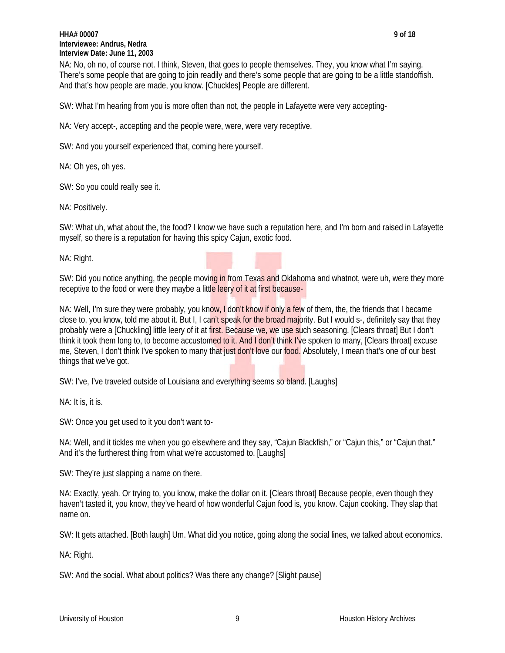## **HHA# 00007 9 of 18 Interviewee: Andrus, Nedra Interview Date: June 11, 2003**

NA: No, oh no, of course not. I think, Steven, that goes to people themselves. They, you know what I'm saying. There's some people that are going to join readily and there's some people that are going to be a little standoffish. And that's how people are made, you know. [Chuckles] People are different.

SW: What I'm hearing from you is more often than not, the people in Lafayette were very accepting-

NA: Very accept-, accepting and the people were, were, were very receptive.

SW: And you yourself experienced that, coming here yourself.

NA: Oh yes, oh yes.

SW: So you could really see it.

NA: Positively.

SW: What uh, what about the, the food? I know we have such a reputation here, and I'm born and raised in Lafayette myself, so there is a reputation for having this spicy Cajun, exotic food.

NA: Right.

SW: Did you notice anything, the people moving in from Texas and Oklahoma and whatnot, were uh, were they more receptive to the food or were they maybe a little leery of it at first because-

NA: Well, I'm sure they were probably, you know, I don't know if only a few of them, the, the friends that I became close to, you know, told me about it. But I, I can't speak for the broad majority. But I would s-, definitely say that they probably were a [Chuckling] little leery of it at first. Because we, we use such seasoning. [Clears throat] But I don't think it took them long to, to become accustomed to it. And I don't think I've spoken to many, [Clears throat] excuse me, Steven, I don't think I've spoken to many that just don't love our food. Absolutely, I mean that's one of our best things that we've got.

SW: I've, I've traveled outside of Louisiana and everything seems so bland. [Laughs]

NA: It is, it is.

SW: Once you get used to it you don't want to-

NA: Well, and it tickles me when you go elsewhere and they say, "Cajun Blackfish," or "Cajun this," or "Cajun that." And it's the furtherest thing from what we're accustomed to. [Laughs]

SW: They're just slapping a name on there.

NA: Exactly, yeah. Or trying to, you know, make the dollar on it. [Clears throat] Because people, even though they haven't tasted it, you know, they've heard of how wonderful Cajun food is, you know. Cajun cooking. They slap that name on.

SW: It gets attached. [Both laugh] Um. What did you notice, going along the social lines, we talked about economics.

NA: Right.

SW: And the social. What about politics? Was there any change? [Slight pause]

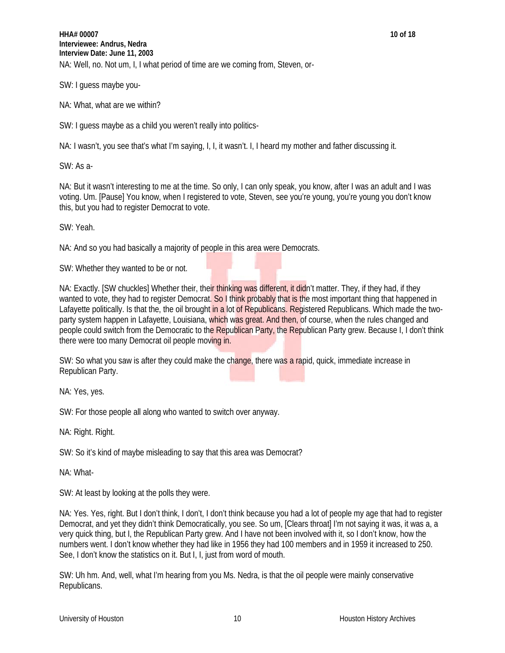SW: I guess maybe you-

NA: What, what are we within?

SW: I guess maybe as a child you weren't really into politics-

NA: I wasn't, you see that's what I'm saying, I, I, it wasn't. I, I heard my mother and father discussing it.

SW: As a-

NA: But it wasn't interesting to me at the time. So only, I can only speak, you know, after I was an adult and I was voting. Um. [Pause] You know, when I registered to vote, Steven, see you're young, you're young you don't know this, but you had to register Democrat to vote.

SW: Yeah.

NA: And so you had basically a majority of people in this area were Democrats.

SW: Whether they wanted to be or not.

NA: Exactly. [SW chuckles] Whether their, their thinking was different, it didn't matter. They, if they had, if they wanted to vote, they had to register Democrat. So I think probably that is the most important thing that happened in Lafayette politically. Is that the, the oil brought in a lot of Republicans. Registered Republicans. Which made the twoparty system happen in Lafayette, Louisiana, which was great. And then, of course, when the rules changed and people could switch from the Democratic to the Republican Party, the Republican Party grew. Because I, I don't think there were too many Democrat oil people moving in.

SW: So what you saw is after they could make the change, there was a rapid, quick, immediate increase in Republican Party.

NA: Yes, yes.

SW: For those people all along who wanted to switch over anyway.

NA: Right. Right.

SW: So it's kind of maybe misleading to say that this area was Democrat?

NA: What-

SW: At least by looking at the polls they were.

NA: Yes. Yes, right. But I don't think, I don't, I don't think because you had a lot of people my age that had to register Democrat, and yet they didn't think Democratically, you see. So um, [Clears throat] I'm not saying it was, it was a, a very quick thing, but I, the Republican Party grew. And I have not been involved with it, so I don't know, how the numbers went. I don't know whether they had like in 1956 they had 100 members and in 1959 it increased to 250. See, I don't know the statistics on it. But I, I, just from word of mouth.

SW: Uh hm. And, well, what I'm hearing from you Ms. Nedra, is that the oil people were mainly conservative Republicans.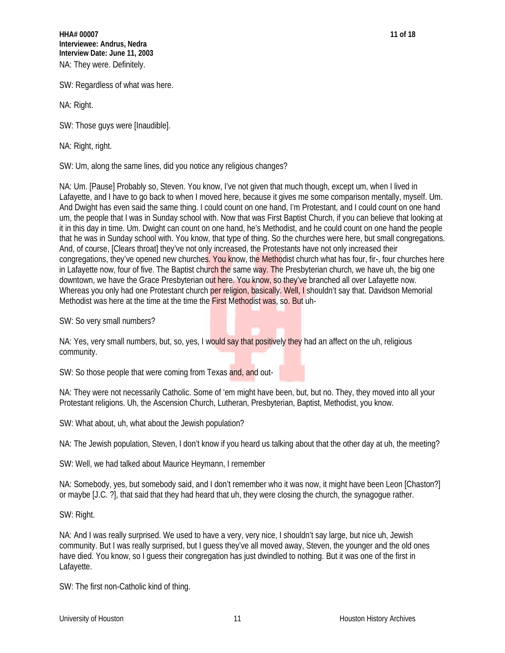SW: Regardless of what was here.

NA: Right.

SW: Those guys were [Inaudible].

NA: Right, right.

SW: Um, along the same lines, did you notice any religious changes?

NA: Um. [Pause] Probably so, Steven. You know, I've not given that much though, except um, when I lived in Lafayette, and I have to go back to when I moved here, because it gives me some comparison mentally, myself. Um. And Dwight has even said the same thing. I could count on one hand, I'm Protestant, and I could count on one hand um, the people that I was in Sunday school with. Now that was First Baptist Church, if you can believe that looking at it in this day in time. Um. Dwight can count on one hand, he's Methodist, and he could count on one hand the people that he was in Sunday school with. You know, that type of thing. So the churches were here, but small congregations. And, of course, [Clears throat] they've not only increased, the Protestants have not only increased their congregations, they've opened new churches. You know, the Methodist church what has four, fir-, four churches here in Lafayette now, four of five. The Baptist church the same way. The Presbyterian church, we have uh, the big one downtown, we have the Grace Presbyterian out here. You know, so they've branched all over Lafayette now. Whereas you only had one Protestant church per religion, basically. Well, I shouldn't say that. Davidson Memorial Methodist was here at the time at the time the First Methodist was, so. But uh-

SW: So very small numbers?

NA: Yes, very small numbers, but, so, yes, I would say that positively they had an affect on the uh, religious community.

SW: So those people that were coming from Texas and, and out-

NA: They were not necessarily Catholic. Some of 'em might have been, but, but no. They, they moved into all your Protestant religions. Uh, the Ascension Church, Lutheran, Presbyterian, Baptist, Methodist, you know.

SW: What about, uh, what about the Jewish population?

NA: The Jewish population, Steven, I don't know if you heard us talking about that the other day at uh, the meeting?

SW: Well, we had talked about Maurice Heymann, I remember

NA: Somebody, yes, but somebody said, and I don't remember who it was now, it might have been Leon [Chaston?] or maybe [J.C. ?], that said that they had heard that uh, they were closing the church, the synagogue rather.

SW: Right.

NA: And I was really surprised. We used to have a very, very nice, I shouldn't say large, but nice uh, Jewish community. But I was really surprised, but I guess they've all moved away, Steven, the younger and the old ones have died. You know, so I guess their congregation has just dwindled to nothing. But it was one of the first in Lafayette.

SW: The first non-Catholic kind of thing.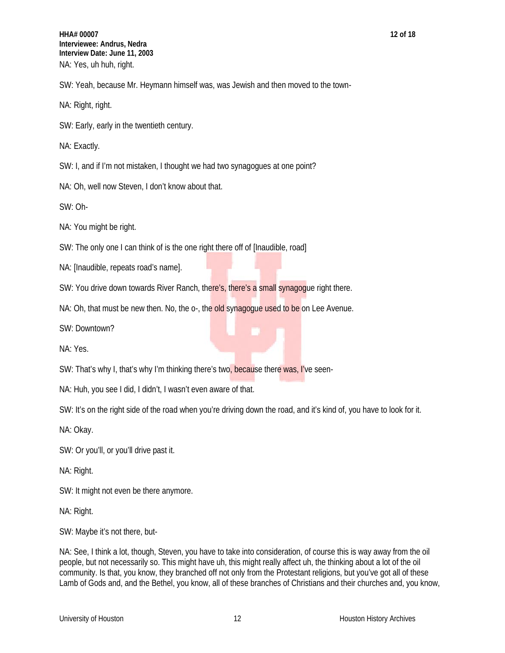**HHA# 00007 12 of 18 Interviewee: Andrus, Nedra Interview Date: June 11, 2003** NA: Yes, uh huh, right.

SW: Yeah, because Mr. Heymann himself was, was Jewish and then moved to the town-

NA: Right, right.

SW: Early, early in the twentieth century.

NA: Exactly.

SW: I, and if I'm not mistaken, I thought we had two synagogues at one point?

NA: Oh, well now Steven, I don't know about that.

SW: Oh-

NA: You might be right.

SW: The only one I can think of is the one right there off of [Inaudible, road]

NA: [Inaudible, repeats road's name].

SW: You drive down towards River Ranch, there's, there's a small synagogue right there.

NA: Oh, that must be new then. No, the o-, the old synagoque used to be on Lee Avenue.

SW: Downtown?

NA: Yes.

SW: That's why I, that's why I'm thinking there's two, because there was, I've seen-

NA: Huh, you see I did, I didn't, I wasn't even aware of that.

SW: It's on the right side of the road when you're driving down the road, and it's kind of, you have to look for it.

NA: Okay.

SW: Or you'll, or you'll drive past it.

NA: Right.

SW: It might not even be there anymore.

NA: Right.

SW: Maybe it's not there, but-

NA: See, I think a lot, though, Steven, you have to take into consideration, of course this is way away from the oil people, but not necessarily so. This might have uh, this might really affect uh, the thinking about a lot of the oil community. Is that, you know, they branched off not only from the Protestant religions, but you've got all of these Lamb of Gods and, and the Bethel, you know, all of these branches of Christians and their churches and, you know,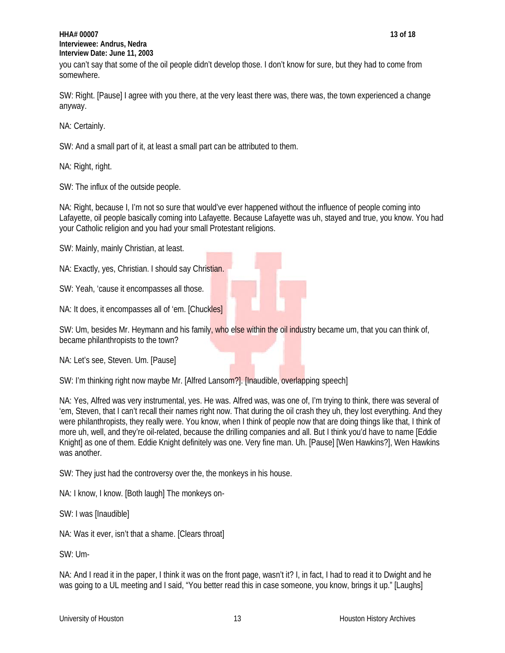## **HHA# 00007 13 of 18 Interviewee: Andrus, Nedra Interview Date: June 11, 2003**

you can't say that some of the oil people didn't develop those. I don't know for sure, but they had to come from somewhere.

SW: Right. [Pause] I agree with you there, at the very least there was, there was, the town experienced a change anyway.

NA: Certainly.

SW: And a small part of it, at least a small part can be attributed to them.

NA: Right, right.

SW: The influx of the outside people.

NA: Right, because I, I'm not so sure that would've ever happened without the influence of people coming into Lafayette, oil people basically coming into Lafayette. Because Lafayette was uh, stayed and true, you know. You had your Catholic religion and you had your small Protestant religions.

SW: Mainly, mainly Christian, at least.

NA: Exactly, yes, Christian. I should say Christian.

SW: Yeah, 'cause it encompasses all those.

NA: It does, it encompasses all of 'em. [Chuckles]

SW: Um, besides Mr. Heymann and his family, who else within the oil industry became um, that you can think of, became philanthropists to the town?

NA: Let's see, Steven. Um. [Pause]

SW: I'm thinking right now maybe Mr. [Alfred Lansom?]. [Inaudible, overlapping speech]

NA: Yes, Alfred was very instrumental, yes. He was. Alfred was, was one of, I'm trying to think, there was several of 'em, Steven, that I can't recall their names right now. That during the oil crash they uh, they lost everything. And they were philanthropists, they really were. You know, when I think of people now that are doing things like that, I think of more uh, well, and they're oil-related, because the drilling companies and all. But I think you'd have to name [Eddie Knight] as one of them. Eddie Knight definitely was one. Very fine man. Uh. [Pause] [Wen Hawkins?], Wen Hawkins was another.

SW: They just had the controversy over the, the monkeys in his house.

NA: I know, I know. [Both laugh] The monkeys on-

SW: I was [Inaudible]

NA: Was it ever, isn't that a shame. [Clears throat]

SW: Um-

NA: And I read it in the paper, I think it was on the front page, wasn't it? I, in fact, I had to read it to Dwight and he was going to a UL meeting and I said, "You better read this in case someone, you know, brings it up." [Laughs]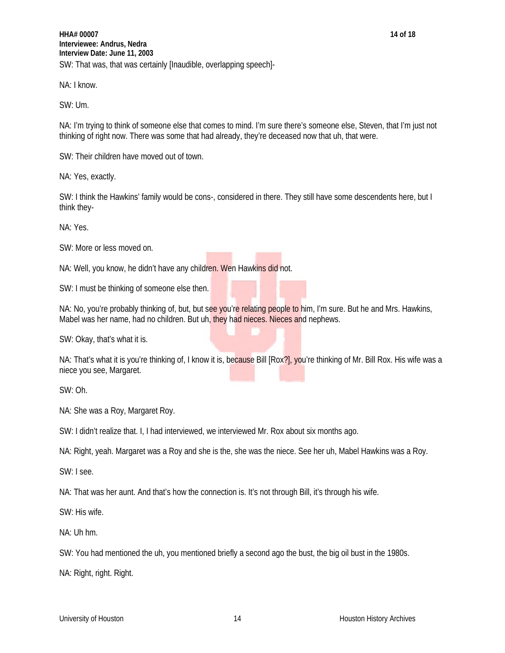NA: I know.

SW: Um.

NA: I'm trying to think of someone else that comes to mind. I'm sure there's someone else, Steven, that I'm just not thinking of right now. There was some that had already, they're deceased now that uh, that were.

SW: Their children have moved out of town.

NA: Yes, exactly.

SW: I think the Hawkins' family would be cons-, considered in there. They still have some descendents here, but I think they-

NA: Yes.

SW: More or less moved on.

NA: Well, you know, he didn't have any children. Wen Hawkins did not.

SW: I must be thinking of someone else then.

NA: No, you're probably thinking of, but, but see you're relating people to him, I'm sure. But he and Mrs. Hawkins, Mabel was her name, had no children. But uh, they had nieces. Nieces and nephews.

SW: Okay, that's what it is.

NA: That's what it is you're thinking of, I know it is, because Bill [Rox?], you're thinking of Mr. Bill Rox. His wife was a niece you see, Margaret.

SW: Oh.

NA: She was a Roy, Margaret Roy.

SW: I didn't realize that. I, I had interviewed, we interviewed Mr. Rox about six months ago.

NA: Right, yeah. Margaret was a Roy and she is the, she was the niece. See her uh, Mabel Hawkins was a Roy.

SW: I see.

NA: That was her aunt. And that's how the connection is. It's not through Bill, it's through his wife.

SW: His wife.

NA: Uh hm.

SW: You had mentioned the uh, you mentioned briefly a second ago the bust, the big oil bust in the 1980s.

NA: Right, right. Right.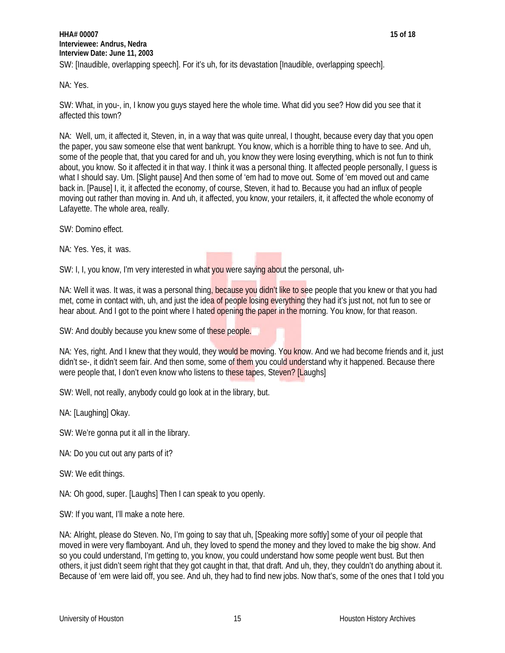NA: Yes.

SW: What, in you-, in, I know you guys stayed here the whole time. What did you see? How did you see that it affected this town?

NA: Well, um, it affected it, Steven, in, in a way that was quite unreal, I thought, because every day that you open the paper, you saw someone else that went bankrupt. You know, which is a horrible thing to have to see. And uh, some of the people that, that you cared for and uh, you know they were losing everything, which is not fun to think about, you know. So it affected it in that way. I think it was a personal thing. It affected people personally, I guess is what I should say. Um. [Slight pause] And then some of 'em had to move out. Some of 'em moved out and came back in. [Pause] I, it, it affected the economy, of course, Steven, it had to. Because you had an influx of people moving out rather than moving in. And uh, it affected, you know, your retailers, it, it affected the whole economy of Lafayette. The whole area, really.

SW: Domino effect.

NA: Yes. Yes, it was.

SW: I, I, you know, I'm very interested in what you were saying about the personal, uh-

NA: Well it was. It was, it was a personal thing, because you didn't like to see people that you knew or that you had met, come in contact with, uh, and just the idea of people losing everything they had it's just not, not fun to see or hear about. And I got to the point where I hated opening the paper in the morning. You know, for that reason.

SW: And doubly because you knew some of these people.

NA: Yes, right. And I knew that they would, they would be moving. You know. And we had become friends and it, just didn't se-, it didn't seem fair. And then some, some of them you could understand why it happened. Because there were people that, I don't even know who listens to these tapes, Steven? [Laughs]

SW: Well, not really, anybody could go look at in the library, but.

NA: [Laughing] Okay.

SW: We're gonna put it all in the library.

NA: Do you cut out any parts of it?

SW: We edit things.

NA: Oh good, super. [Laughs] Then I can speak to you openly.

SW: If you want, I'll make a note here.

NA: Alright, please do Steven. No, I'm going to say that uh, [Speaking more softly] some of your oil people that moved in were very flamboyant. And uh, they loved to spend the money and they loved to make the big show. And so you could understand, I'm getting to, you know, you could understand how some people went bust. But then others, it just didn't seem right that they got caught in that, that draft. And uh, they, they couldn't do anything about it. Because of 'em were laid off, you see. And uh, they had to find new jobs. Now that's, some of the ones that I told you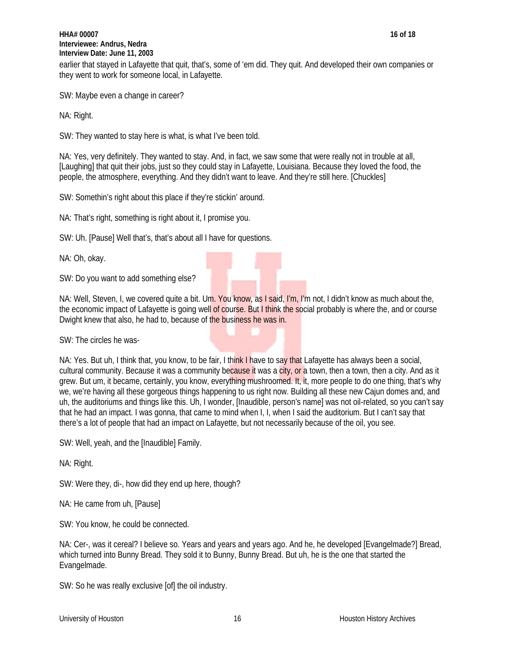## **HHA# 00007 16 of 18 Interviewee: Andrus, Nedra Interview Date: June 11, 2003**

earlier that stayed in Lafayette that quit, that's, some of 'em did. They quit. And developed their own companies or they went to work for someone local, in Lafayette.

SW: Maybe even a change in career?

NA: Right.

SW: They wanted to stay here is what, is what I've been told.

NA: Yes, very definitely. They wanted to stay. And, in fact, we saw some that were really not in trouble at all, [Laughing] that quit their jobs, just so they could stay in Lafayette, Louisiana. Because they loved the food, the people, the atmosphere, everything. And they didn't want to leave. And they're still here. [Chuckles]

SW: Somethin's right about this place if they're stickin' around.

NA: That's right, something is right about it, I promise you.

SW: Uh. [Pause] Well that's, that's about all I have for questions.

NA: Oh, okay.

SW: Do you want to add something else?

NA: Well, Steven, I, we covered quite a bit. Um. You know, as I said, I'm, I'm not, I didn't know as much about the, the economic impact of Lafayette is going well of course. But I think the social probably is where the, and or course Dwight knew that also, he had to, because of the business he was in.

SW: The circles he was-

NA: Yes. But uh, I think that, you know, to be fair, I think I have to say that Lafayette has always been a social, cultural community. Because it was a community because it was a city, or a town, then a town, then a city. And as it grew. But um, it became, certainly, you know, everything mushroomed. It, it, more people to do one thing, that's why we, we're having all these gorgeous things happening to us right now. Building all these new Cajun domes and, and uh, the auditoriums and things like this. Uh, I wonder, [Inaudible, person's name] was not oil-related, so you can't say that he had an impact. I was gonna, that came to mind when I, I, when I said the auditorium. But I can't say that there's a lot of people that had an impact on Lafayette, but not necessarily because of the oil, you see.

SW: Well, yeah, and the [Inaudible] Family.

NA: Right.

SW: Were they, di-, how did they end up here, though?

NA: He came from uh, [Pause]

SW: You know, he could be connected.

NA: Cer-, was it cereal? I believe so. Years and years and years ago. And he, he developed [Evangelmade?] Bread, which turned into Bunny Bread. They sold it to Bunny, Bunny Bread. But uh, he is the one that started the Evangelmade.

SW: So he was really exclusive [of] the oil industry.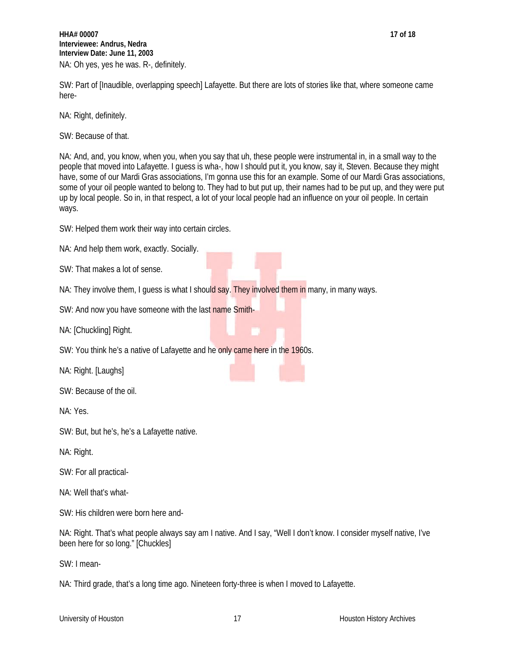**HHA# 00007 17 of 18 Interviewee: Andrus, Nedra Interview Date: June 11, 2003** NA: Oh yes, yes he was. R-, definitely.

SW: Part of [Inaudible, overlapping speech] Lafayette. But there are lots of stories like that, where someone came here-

NA: Right, definitely.

SW: Because of that.

NA: And, and, you know, when you, when you say that uh, these people were instrumental in, in a small way to the people that moved into Lafayette. I guess is wha-, how I should put it, you know, say it, Steven. Because they might have, some of our Mardi Gras associations, I'm gonna use this for an example. Some of our Mardi Gras associations, some of your oil people wanted to belong to. They had to but put up, their names had to be put up, and they were put up by local people. So in, in that respect, a lot of your local people had an influence on your oil people. In certain ways.

SW: Helped them work their way into certain circles.

NA: And help them work, exactly. Socially.

SW: That makes a lot of sense.

NA: They involve them, I guess is what I should say. They involved them in many, in many ways.

SW: And now you have someone with the last name Smith-

NA: [Chuckling] Right.

SW: You think he's a native of Lafayette and he only came here in the 1960s.

NA: Right. [Laughs]

SW: Because of the oil.

NA: Yes.

SW: But, but he's, he's a Lafayette native.

NA: Right.

SW: For all practical-

NA: Well that's what-

SW: His children were born here and-

NA: Right. That's what people always say am I native. And I say, "Well I don't know. I consider myself native, I've been here for so long." [Chuckles]

SW: I mean-

NA: Third grade, that's a long time ago. Nineteen forty-three is when I moved to Lafayette.